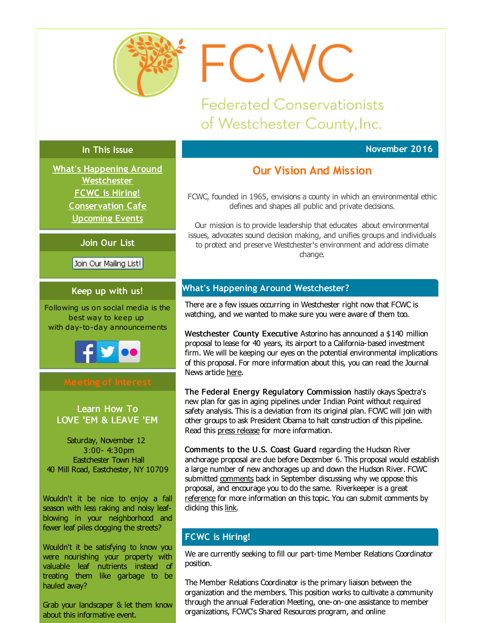<span id="page-0-0"></span>

FCWC

**Federated Conservationists** of Westchester County, Inc.

# **In This Issue**

**What's Happening Around [Westchester](#page-0-0) FCWC is [Hiring!](#page-0-0) [Conservation](#page-0-0) Cafe [Upcoming](#page-0-0) Events**

**Join Our List**

Join Our Mailing List!

# **Keep up with us!**

Following us on social media is the best way to keep up with day-to-day announcements



Learn How To LOVE 'EM & LEAVE 'EM

Saturday, November 12 3:00- 4:30pm Eastchester Town Hall 40 Mill Road, Eastchester, NY 10709

Wouldn't it be nice to enjoy a fall season with less raking and noisy leafblowing in your neighborhood and fewer leaf piles dogging the streets?

Wouldn't it be satisfying to know you were nourishing your property with valuable leaf nutrients instead of treating them like garbage to be hauled away?

Grab your landscaper & let them know about this informative event.

# **November 2016**

# **Our Vision And Mission**

FCWC, founded in 1965, envisions a county in which an environmental ethic defines and shapes all public and private decisions.

Our mission is to provide leadership that educates about environmental issues, advocates sound decision making, and unifies groups and individuals to protect and preserve Westchester's environment and address dimate change.

# **What's Happening Around Westchester?**

There are a few issues occurring in Westchester right now that FCWC is watching, and we wanted to make sure you were aware of them too.

Westchester County Executive Astorino has announced a \$140 million proposal to lease for 40 years, its airport to a California-based investment firm. We will be keeping our eyes on the potential environmental implications of this proposal. For more information about this, you can read the Journal News artide [here](http://r20.rs6.net/tn.jsp?f=001hznmQAJIcGTelk7bk2ALW-oIIkhmJOdCX-2a_8IAXLJs9Tmo9daG5I_qcJ2paglbuI1SaIbCsI4hYnuLh4CMLYfeYnZfg4Ik-WqCjtmQQ_O8NMSFGQ04Qhf7YoxAIYFwGMgmUr95wNj2JDi9QMwzGbE-ZTJiOT_VgfrFctBKTKF1NodQJEDKbmLAjrelN6542n5BpKgliOrnGzV8WE8jsZ_jExDpkgFETaC1A2mAlBnfNFXtJtI44ZZBnnLVGXNbd2p4mwLa8LvzwRDly75LsczkjMj0WCVhZcQVxtpgIzuIsqtqbHA_jA==&c=&ch=).

The Federal Energy Regulatory Commission hastily okays Spectra's new plan for gas in aging pipelines under Indian Point without required safety analysis. This is a deviation from its original plan. FCWC will join with other groups to ask President Obama to halt construction of this pipeline. Read this press [release](http://r20.rs6.net/tn.jsp?f=001hznmQAJIcGTelk7bk2ALW-oIIkhmJOdCX-2a_8IAXLJs9Tmo9daG5I_qcJ2paglbXDB1xT6i4Y-zLk0TtrXHXYRSCh3i4rI0FM4b_otRHEO0bzvMKk8jH_thqwscJo41H5IqC3qH0t-kz7GlknJi40JE4RYA7BI95KTUWHroFGBfYMkVEbaKX3V9rv8uEqGQp2_d3yUIOyrcpxgz0MAHZEJDtQWmsrB_i8kjczgoQOgeFv2ZB0-5nKYzpQhPxhxt&c=&ch=) for more information.

Comments to the U.S. Coast Guard regarding the Hudson River anchorage proposal are due before December 6. This proposal would establish a large number of new anchorages up and down the Hudson River. FCWC submitted [comments](http://r20.rs6.net/tn.jsp?f=001hznmQAJIcGTelk7bk2ALW-oIIkhmJOdCX-2a_8IAXLJs9Tmo9daG5I_qcJ2paglb2SghS9qZT5rnThseVCG1SBeS-16qL3wDQQNjwdwQn0b0CksYt0uH3OgHTwN1UKYqFiAScrdAI7CoC6zTJ1kXgLlrvlgWMNYZk-Dw39tVtu8-UD6f5TQAmcNSYkxt8s64JiRvQ_9U8JunFqsP-fJEF3q19nQTjQ1jrRcjBtO9X5sfmLS18VYybUF5Dbz8mSe8&c=&ch=) back in September discussing why we oppose this proposal, and encourage you to do the same. Riverkeeper is a great [reference](http://r20.rs6.net/tn.jsp?f=001hznmQAJIcGTelk7bk2ALW-oIIkhmJOdCX-2a_8IAXLJs9Tmo9daG5BulXWppBnrgkURtHBWXds6oVGhMmD1PwRogrGk_SkkuyMaDXN57WTqITBmn_UWWocgHVMGD1WHs1AbiHzzsY8I4ssvku59Y1QfTMnS5CTXhZmV4YfjhIt58BEE09KNPLpOepyE-sFKngCnaptGbL_C_0bURvcPBQHNHTFNvWofLAEp7h4oBl9M=&c=&ch=) for more information on this topic. You can submit comments by did ing this [link](http://r20.rs6.net/tn.jsp?f=001hznmQAJIcGTelk7bk2ALW-oIIkhmJOdCX-2a_8IAXLJs9Tmo9daG5BulXWppBnrgMkzOmN44ToWrBSvNdnVOLITQfUOY3vtplTnxwTyV8KnlQ2u2SlTbFoRgJ2NftzcpzSaYIxd31lQwpI-bFeCaRTp-TRrpjGieJQk5lqWPBqDyRZzZiLXa1YdKZas7lBgQq_idR5ornFKQQLzdQqLLeoSkMq4eczFn&c=&ch=).

# **FCWC is Hiring!**

We are currently seeking to fill our part-time Member Relations Coordinator position.

The Member Relations Coordinator is the primary liaison between the organization and the members. This position works to cultivate a community through the annual Federation Meeting, one-on-one assistance to member organizations, FCWC's Shared Resources program, and online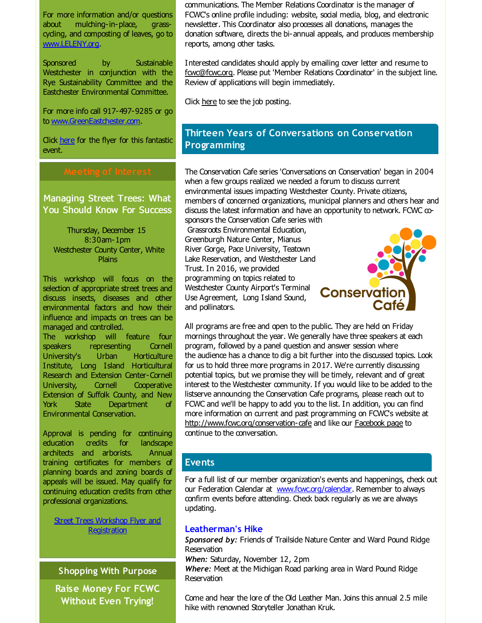For more information and/or questions about mulching-in-place, grasscycling, and composting of leaves, go to [www.LELENY.org](http://r20.rs6.net/tn.jsp?f=001hznmQAJIcGTelk7bk2ALW-oIIkhmJOdCX-2a_8IAXLJs9Tmo9daG5O7vgqR-BIrVMT06LtqI7xmkfrXh6IQ_wRci7fcP0S_gbZR6RGNsCsIYZIV1fi_aWUxD24tpD0J3mWZv2gv-o3gOLPFWuH6VxB5MIQy7Xx6B0bAA3vM8zrU=&c=&ch=).

Sponsored by Sustainable Westchester in conjunction with the Rye Sustainability Committee and the Eastchester Environmental Committee.

For more info call 917-497-9285 or go to [www.GreenEastchester.com](http://r20.rs6.net/tn.jsp?f=001hznmQAJIcGTelk7bk2ALW-oIIkhmJOdCX-2a_8IAXLJs9Tmo9daG5I_qcJ2paglbec9ETPPkCY1WvdYXZ19ccVV3o5jb36UwBF9n96DLr_ix17cy6a9k0ohM2OpPN5rh63sj1jLXsx-vdrbrJN6LIjhv54kGADTmErnkQt5Wh3Qnf9FPwQI3NQ==&c=&ch=).

Click [here](http://r20.rs6.net/tn.jsp?f=001hznmQAJIcGTelk7bk2ALW-oIIkhmJOdCX-2a_8IAXLJs9Tmo9daG5I_qcJ2paglbxu8Y7hw0Oo-DykhCMDgpScO4fHufxzgC_oJEgGY9FQ8O_8gGd2UaqaTF_CBzQOcLNpsFtmnT6S0P0iMCCif1uyZSNg96QLxtZayrHK9Yj5QWBQ_1I1Fch7HFz4ewq0pndNjNVHnvqcPVK7LPKcjCia20r91KqQBKDOn2CmwgHv9zuWo3fzZT2FP8AZbitZn2&c=&ch=) for the flyer for this fantastic event.

Managing Street Trees: What You Should Know For Success

Thursday, December 15 8:30am-1pm Westchester County Center, White **Plains** 

This workshop will focus on the selection of appropriate street trees and discuss insects, diseases and other environmental factors and how their influence and impacts on trees can be managed and controlled.

The workshop will feature four speakers representing Cornell University's Urban Horticulture Institute, Long Island Horticultural Research and Extension Center-Cornell University, Cornell Cooperative Extension of Suffolk County, and New York State Department of Environmental Conservation.

Approval is pending for continuing education credits for landscape architects and arborists. Annual training certificates for members of planning boards and zoning boards of appeals will be issued. May qualify for continuing education credits from other professional organizations.

Street Trees Workshop Flyer and [Registration](http://r20.rs6.net/tn.jsp?f=001hznmQAJIcGTelk7bk2ALW-oIIkhmJOdCX-2a_8IAXLJs9Tmo9daG5J-R8jmCQlI5V1QFdUQo5V69ivsIkuXWRmXUuQmwDg3erZbnbZ1ceAfoVHxYaV30kZxNHHMrjVsjMssB44yMhgW2TkEChXOwLMRW44zL2jD2NOEpHawJUivqAa3OTNzlCs52QF2stfnutCRWej_2IPWfhuYmhAjUtpzrBVHIh7OW4vMDbfi_RN5ApEhFob8URU9U94b7JIPG&c=&ch=)

**Shopping With Purpose**

**Raise Money For FCWC Without Even Trying!**

communications. The Member Relations Coordinator is the manager of FCWC's online profile induding: website, social media, blog, and electronic newsletter. This Coordinator also processes all donations, manages the donation software, directs the bi-annual appeals, and produces membership reports, among other tasks.

Interested candidates should apply by emailing cover letter and resume to [fcwc@fcwc.org](mailto:fcwc@fcwc.org). Please put 'Member Relations Coordinator' in the subject line. Review of applications will begin immediately.

Click [here](http://r20.rs6.net/tn.jsp?f=001hznmQAJIcGTelk7bk2ALW-oIIkhmJOdCX-2a_8IAXLJs9Tmo9daG5I_qcJ2paglbbUailbabHxx6d1AuWOfWisblg170K3rAhWxiitRZFwkjXCPnM7ySZQM-delQftl6XC9N-X04E7z07HaLOWRrpUBva2xSTEfj3tnVk2kaTlEJGd0f8hpb5yE0iBHtLdA8qvC9gSoNybBPGGqA6oLy4_g8ejNk9RSEV4sEcmHSdhs=&c=&ch=) to see the job posting.

# **Thirteen Years of Conversations on Conservation Programming**

The Conservation Cafe series 'Conversations on Conservation' began in 2004 when a few groups realized we needed a forum to discuss current environmental issues impacting Westchester County. Private citizens, members of concerned organizations, municipal planners and others hear and discuss the latest information and have an opportunity to network. FCWC co-

sponsors the Conservation Cafe series with Grassroots Environmental Education, Greenburgh Nature Center, Mianus River Gorge, Pace University, Teatown Lake Reservation, and Westchester Land Trust. In 2016, we provided programming on topics related to Westchester County Airport's Terminal Use Agreement, Long Island Sound, and pollinators.



All programs are free and open to the public. They are held on Friday mornings throughout the year. We generally have three speakers at each program, followed by a panel question and answer session where the audience has a chance to dig a bit further into the discussed topics. Look for us to hold three more programs in 2017. We're currently discussing potential topics, but we promise they will be timely, relevant and of great interest to the Westchester community. If you would like to be added to the listserve announcing the Conservation Cafe programs, please reach out to FCWC and we'll be happy to add you to the list. In addition, you can find more information on current and past programming on FCWC's website at [http://www.fcwc.org/conservation-cafe](http://r20.rs6.net/tn.jsp?f=001hznmQAJIcGTelk7bk2ALW-oIIkhmJOdCX-2a_8IAXLJs9Tmo9daG5J-R8jmCQlI5d-uCaP4Bzv_DmeGlUn3kLdd-ho_Fegai93xc4QEhUBqJhvtj44Eulj0w0gz03tTD-UzGICRnrZCJTuhnfUuO7xFaAjMPaQj0DYumFkg_PyDUyXB26dDY3ryMeTy39vab&c=&ch=) and like our [Facebook](http://r20.rs6.net/tn.jsp?f=001hznmQAJIcGTelk7bk2ALW-oIIkhmJOdCX-2a_8IAXLJs9Tmo9daG5I_qcJ2paglb7gU2oTPDZVkERUVqUNJAxYwBFmPRlWHKrpSFUSj1BMx7yTGkMkRKbyhNjxb3hd5nBZPgqxFWFjPiErWt2pfgGbh6QYZWw1B8kvmsfaiWapPLavPldruydZvsWvw4y8s6Ibk5dRvUU8CPTbbHhKj30cNLgzeUxfU9saFttfXDhXY=&c=&ch=) page to continue to the conversation.

## **Events**

For a full list of our member organization's events and happenings, check out our Federation Calendar at www.fowc.org/calendar. Remember to always confirm events before attending. Check back regularly as we are always updating.

## **Leatherman's Hike**

*Sponsored by:* Friends of Trailside Nature Center and Ward Pound Ridge Reservation *When:* Saturday, November 12, 2pm *Where:* Meet at the Michigan Road parking area in Ward Pound Ridge Reservation

Come and hear the lore of the Old Leather Man. Joins this annual 2.5 mile hike with renowned Storyteller Jonathan Kruk.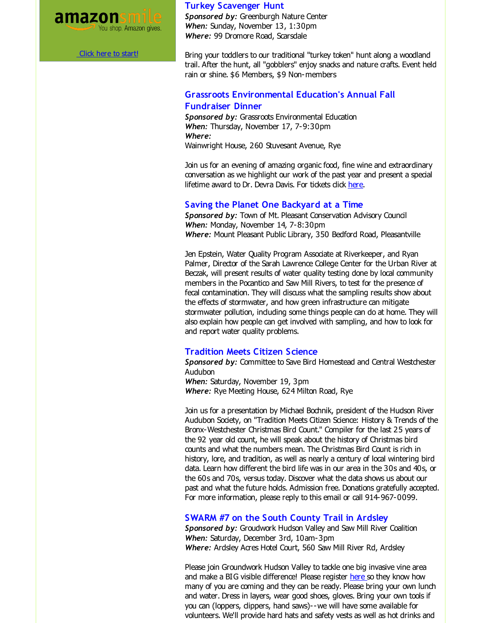

Click here to [start!](http://r20.rs6.net/tn.jsp?f=001hznmQAJIcGTelk7bk2ALW-oIIkhmJOdCX-2a_8IAXLJs9Tmo9daG5LpLqD58_0sRaTlwGODabbG44YcumZasHH2-ubTwBjclbGxXvd43bqJjYfs2eMgapJ4J6BYTfg731s-4AP6kpXH6C6ED9z3kO77HkRzK7a49q7l7teSnWDi95-xV_ZPu_wqqgTRDtaPNLff9vT4jw-0W4EKLnuz7n8Ir8V-MgeF3cm-mvv_gVBFi3ljm8taZTEhivQoFNUbV3v0iPydqphJrsdp13S9mE4oLGGST5bGWeV2nHQprFG0AKi25VibqoA==&c=&ch=)

#### **Turkey Scavenger Hunt**

*Sponsored by:* Greenburgh Nature Center *When:* Sunday, November 13, 1:30pm *Where:* 99 Dromore Road, Scarsdale

Bring your toddlers to our traditional "turkey token" hunt along a woodland trail. After the hunt, all "gobblers" enjoy snacks and nature crafts. Event held rain or shine. \$6 Members, \$9 Non-members

### **Grassroots Environmental Education's Annual Fall Fundraiser Dinner**

*Sponsored by:* Grassroots Environmental Education *When:* Thursday, November 17, 7-9:30pm *Where:* Wainwright House, 260 Stuvesant Avenue, Rye

Join us for an evening of amazing organic food, fine wine and extraordinary conversation as we highlight our work of the past year and present a special lifetime award to Dr. Devra Davis. For tickets dick [here](http://r20.rs6.net/tn.jsp?f=001hznmQAJIcGTelk7bk2ALW-oIIkhmJOdCX-2a_8IAXLJs9Tmo9daG5I_qcJ2paglb88GkOdHRm3wPp5BnbYpCoQ-WbRpZNPqDEmrZx0AJLwUy424EpYZ5qvH2fwJXTTlfKA34s9ZMrSsS7XhG8c-HGCLjIUS9x5hA9231bayxLphnkdUs-vDkYSpWUYb8O3lxiHHQlTWMT_TpdsY0bzTg9FnV2moUR7xbAD-Gt4ihYw_eZ5fDbb6EQ3hozFG2bwhDeGo0qSuCkRXJnOLTF7xuTw==&c=&ch=).

#### **Saving the Planet One Backyard at a Time**

*Sponsored by:* Town of Mt. Pleasant Conservation Advisory Council *When:* Monday, November 14, 7-8:30pm *Where:* Mount Pleasant Public Library, 350 Bedford Road, Pleasantville

Jen Epstein, Water Quality Program Associate at Riverkeeper, and Ryan Palmer, Director of the Sarah Lawrence College Center for the Urban River at Beczak, will present results of water quality testing done by local community members in the Pocantico and Saw Mill Rivers, to test for the presence of fecal contamination. They will discuss what the sampling results show about the effects of stormwater, and how green infrastructure can mitigate stormwater pollution, induding some things people can do at home. They will also explain how people can get involved with sampling, and how to look for and report water quality problems.

#### **Tradition Meets Citizen Science**

Sponsored by: Committee to Save Bird Homestead and Central Westchester Audubon *When:* Saturday, November 19, 3pm *Where:* Rye Meeting House, 624 Milton Road, Rye

Join us for a presentation by Michael Bochnik, president of the Hudson River Audubon Society, on "Tradition Meets Citizen Science: History & Trends of the Bronx-Westchester Christmas Bird Count." Compiler for the last 25 years of the 92 year old count, he will speak about the history of Christmas bird counts and what the numbers mean. The Christmas Bird Count is rich in history, lore, and tradition, as well as nearly a century of local wintering bird data. Learn how different the bird life was in our area in the 30s and 40s, or the 60s and 70s, versus today. Discover what the data shows us about our past and what the future holds. Admission free. Donations gratefully accepted. For more information, please reply to this email or call 914-967-0099.

#### **SWARM #7 on the South County Trail in Ardsley**

*Sponsored by:* Groudwork Hudson Valley and Saw Mill River Coalition *When:* Saturday, December 3rd, 10am-3pm *Where:* Ardsley Acres Hotel Court, 560 Saw Mill River Rd, Ardsley

Please join Groundwork Hudson Valley to tackle one big invasive vine area and make a BIG visible difference! Please register [here](http://r20.rs6.net/tn.jsp?f=001hznmQAJIcGTelk7bk2ALW-oIIkhmJOdCX-2a_8IAXLJs9Tmo9daG5I_qcJ2paglb8mpoWt5ObpT-PRlox5E-1UJZJjCVlbFzSg0wSvgsL_n23NhU481cpJPPe_X8kcRosZmTrOlK3sX12jRclPjibCKq9yzGwTFiYUK2aT32E7GHpR9Ij76qBiCUpQAIN6YFYRA3cNj8UVqaqGlsc9JbPnom0Wo-RijQNouoxhdlNJE9myieB6gGr7Rn2BRbFZq3xPXWuTxc96_6SoAmL-iypw==&c=&ch=) so they know how many of you are coming and they can be ready. Please bring your own lunch and water. Dress in layers, wear good shoes, gloves. Bring your own tools if you can (loppers, dippers, hand saws)--we will have some available for volunteers. We'll provide hard hats and safety vests as well as hot drinks and